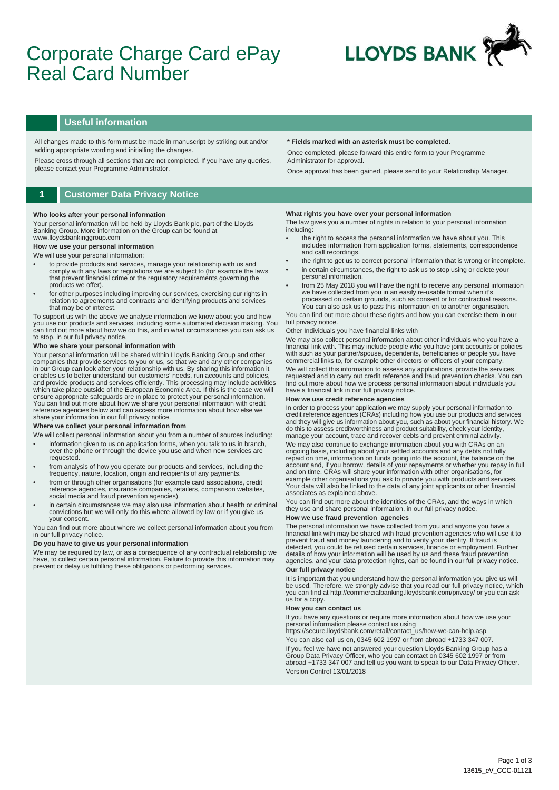# Corporate Charge Card ePay Real Card Number



### **Useful information**

All changes made to this form must be made in manuscript by striking out and/or adding appropriate wording and initialling the changes.

Please cross through all sections that are not completed. If you have any queries, please contact your Programme Administrator.

### **1 Customer Data Privacy Notice**

#### **Who looks after your personal information**

Your personal information will be held by Lloyds Bank plc, part of the Lloyds Banking Group. More information on the Group can be found at www.lloydsbankinggroup.com

## **How we use your personal information**

### We will use your personal information:

- to provide products and services, manage your relationship with us and comply with any laws or regulations we are subject to (for example the laws that prevent financial crime or the regulatory requirements governing the products we offer).
- for other purposes including improving our services, exercising our rights in relation to agreements and contracts and identifying products and services that may be of interest.

To support us with the above we analyse information we know about you and how you use our products and services, including some automated decision making. You can find out more about how we do this, and in what circumstances you can ask us to stop, in our full privacy notice.

### **Who we share your personal information with**

Your personal information will be shared within Lloyds Banking Group and other companies that provide services to you or us, so that we and any other companies<br>in our Group can look after your relationship with us. By sharing this information it<br>enables us to better understand our customers' needs, r which take place outside of the European Economic Area. If this is the case we will ensure appropriate safeguards are in place to protect your personal information.<br>You can find out more about how we share your personal information with credit<br>reference agencies below and can access more information about share your information in our full privacy notice.

#### **Where we collect your personal information from**

- We will collect personal information about you from a number of sources including: • information given to us on application forms, when you talk to us in branch, over the phone or through the device you use and when new services are requested.
- from analysis of how you operate our products and services, including the frequency, nature, location, origin and recipients of any payments.
- from or through other organisations (for example card associations, credit reference agencies, insurance companies, retailers, comparison websites, social media and fraud prevention agencies).
- in certain circumstances we may also use information about health or criminal convictions but we will only do this where allowed by law or if you give us your consent.

You can find out more about where we collect personal information about you from in our full privacy notice.

#### **Do you have to give us your personal information**

We may be required by law, or as a consequence of any contractual relationship we have, to collect certain personal information. Failure to provide this information may prevent or delay us fulfilling these obligations or performing services.

#### **\* Fields marked with an asterisk must be completed.**

Once completed, please forward this entire form to your Programme Administrator for approval.

Once approval has been gained, please send to your Relationship Manager.

#### **What rights you have over your personal information**

The law gives you a number of rights in relation to your personal information including:

- the right to access the personal information we have about you. This includes information from application forms, statements, correspondence and call recordings.
- the right to get us to correct personal information that is wrong or incomplete. in certain circumstances, the right to ask us to stop using or delete your
- personal information. • from 25 May 2018 you will have the right to receive any personal information we have collected from you in an easily re-usable format when it's
- processed on certain grounds, such as consent or for contractual reasons. You can also ask us to pass this information on to another organisation.

You can find out more about these rights and how you can exercise them in our full privacy notice

#### Other Individuals you have financial links with

We may also collect personal information about other individuals who you have a financial link with. This may include people who you have joint accounts or policies with such as your partner/spouse, dependents, beneficiaries or people you have commercial links to, for example other directors or officers of your company.

We will collect this information to assess any applications, provide the services requested and to carry out credit reference and fraud prevention checks. You can find out more about how we process personal information about individuals you have a financial link in our full privacy notice.

#### **How we use credit reference agencies**

In order to process your application we may supply your personal information to credit reference agencies (CRAs) including how you use our products and services and they will give us information about you, such as about your financial history. We do this to assess creditworthiness and product suitability, check your identity, manage your account, trace and recover debts and prevent criminal activity.

We may also continue to exchange information about you with CRAs on an ongoing basis, including about your settled accounts and any debts not fully repaid on time, information on funds going into the account, the balance on the account and, if you borrow, details of your repayments or whether you repay in full<br>and on time. CRAs will share your information with other organisations, for<br>example other organisations you ask to provide you with produc Your data will also be linked to the data of any joint applicants or other financial associates as explained above.

You can find out more about the identities of the CRAs, and the ways in which they use and share personal information, in our full privacy notice.

### **How we use fraud prevention agencies**

The personal information we have collected from you and anyone you have a<br>financial link with may be shared with fraud prevention agencies who will use it to<br>prevent fraud and money laundering and to verify your identity. detected, you could be refused certain services, finance or employment. Further details of how your information will be used by us and these fraud prevention agencies, and your data protection rights, can be found in our full privacy notice. **Our full privacy notice** 

It is important that you understand how the personal information you give us will be used. Therefore, we strongly advise that you read our full privacy notice, which you can find at http://commercialbanking.lloydsbank.com/privacy/ or you can ask us for a copy.

#### **How you can contact us**

If you have any questions or require more information about how we use your personal information please contact us using

https://secure.lloydsbank.com/retail/contact\_us/how-we-can-help.asp You can also call us on, 0345 602 1997 or from abroad +1733 347 007. If you feel we have not answered your question Lloyds Banking Group has a Group Data Privacy Officer, who you can contact on 0345 602 1997 or from abroad +1733 347 007 and tell us you want to speak to our Data Privacy Officer. Version Control 13/01/2018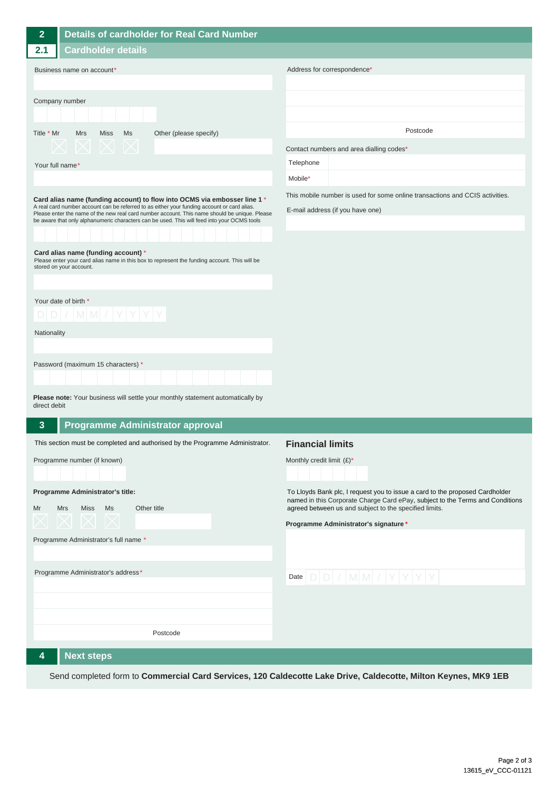| $\overline{2}$                                                                                                                                                                                                                                                                                                                                                           | Details of cardholder for Real Card Number                                    |                                                                                                                                         |
|--------------------------------------------------------------------------------------------------------------------------------------------------------------------------------------------------------------------------------------------------------------------------------------------------------------------------------------------------------------------------|-------------------------------------------------------------------------------|-----------------------------------------------------------------------------------------------------------------------------------------|
| 2.1                                                                                                                                                                                                                                                                                                                                                                      | <b>Cardholder details</b>                                                     |                                                                                                                                         |
| Business name on account*                                                                                                                                                                                                                                                                                                                                                |                                                                               | Address for correspondence*                                                                                                             |
|                                                                                                                                                                                                                                                                                                                                                                          |                                                                               |                                                                                                                                         |
| Company number                                                                                                                                                                                                                                                                                                                                                           |                                                                               |                                                                                                                                         |
|                                                                                                                                                                                                                                                                                                                                                                          |                                                                               |                                                                                                                                         |
| Title * Mr                                                                                                                                                                                                                                                                                                                                                               | <b>Mrs</b><br><b>Miss</b><br>Ms<br>Other (please specify)                     | Postcode                                                                                                                                |
|                                                                                                                                                                                                                                                                                                                                                                          |                                                                               | Contact numbers and area dialling codes*                                                                                                |
| Your full name*                                                                                                                                                                                                                                                                                                                                                          |                                                                               | Telephone                                                                                                                               |
|                                                                                                                                                                                                                                                                                                                                                                          |                                                                               | Mobile*                                                                                                                                 |
| Card alias name (funding account) to flow into OCMS via embosser line 1 *<br>A real card number account can be referred to as either your funding account or card alias.<br>Please enter the name of the new real card number account. This name should be unique. Please<br>be aware that only alphanumeric characters can be used. This will feed into your OCMS tools |                                                                               | This mobile number is used for some online transactions and CCIS activities.                                                            |
|                                                                                                                                                                                                                                                                                                                                                                          |                                                                               | E-mail address (if you have one)                                                                                                        |
|                                                                                                                                                                                                                                                                                                                                                                          |                                                                               |                                                                                                                                         |
|                                                                                                                                                                                                                                                                                                                                                                          |                                                                               |                                                                                                                                         |
| Card alias name (funding account) *<br>Please enter your card alias name in this box to represent the funding account. This will be                                                                                                                                                                                                                                      |                                                                               |                                                                                                                                         |
|                                                                                                                                                                                                                                                                                                                                                                          | stored on your account.                                                       |                                                                                                                                         |
|                                                                                                                                                                                                                                                                                                                                                                          |                                                                               |                                                                                                                                         |
| Your date of birth *                                                                                                                                                                                                                                                                                                                                                     |                                                                               |                                                                                                                                         |
| $D[D]/ M M / Y Y Y Y$                                                                                                                                                                                                                                                                                                                                                    |                                                                               |                                                                                                                                         |
| Nationality                                                                                                                                                                                                                                                                                                                                                              |                                                                               |                                                                                                                                         |
|                                                                                                                                                                                                                                                                                                                                                                          |                                                                               |                                                                                                                                         |
|                                                                                                                                                                                                                                                                                                                                                                          | Password (maximum 15 characters) *                                            |                                                                                                                                         |
|                                                                                                                                                                                                                                                                                                                                                                          |                                                                               |                                                                                                                                         |
| Please note: Your business will settle your monthly statement automatically by<br>direct debit                                                                                                                                                                                                                                                                           |                                                                               |                                                                                                                                         |
| $\mathbf{3}$                                                                                                                                                                                                                                                                                                                                                             | <b>Programme Administrator approval</b>                                       |                                                                                                                                         |
|                                                                                                                                                                                                                                                                                                                                                                          | This section must be completed and authorised by the Programme Administrator. | <b>Financial limits</b>                                                                                                                 |
|                                                                                                                                                                                                                                                                                                                                                                          | Programme number (if known)                                                   | Monthly credit limit $(E)^*$                                                                                                            |
|                                                                                                                                                                                                                                                                                                                                                                          |                                                                               |                                                                                                                                         |
|                                                                                                                                                                                                                                                                                                                                                                          | Programme Administrator's title:                                              | To Lloyds Bank plc, I request you to issue a card to the proposed Cardholder                                                            |
| Mr                                                                                                                                                                                                                                                                                                                                                                       | <b>Mrs</b><br>Miss Ms<br>Other title                                          | named in this Corporate Charge Card ePay, subject to the Terms and Conditions<br>agreed between us and subject to the specified limits. |
|                                                                                                                                                                                                                                                                                                                                                                          | $\curvearrowright \curvearrowright$                                           | Programme Administrator's signature *                                                                                                   |
| Programme Administrator's full name *                                                                                                                                                                                                                                                                                                                                    |                                                                               |                                                                                                                                         |
|                                                                                                                                                                                                                                                                                                                                                                          |                                                                               |                                                                                                                                         |
|                                                                                                                                                                                                                                                                                                                                                                          | Programme Administrator's address*                                            | Date $D D / M M / Y Y Y$                                                                                                                |
|                                                                                                                                                                                                                                                                                                                                                                          |                                                                               |                                                                                                                                         |
|                                                                                                                                                                                                                                                                                                                                                                          |                                                                               |                                                                                                                                         |
|                                                                                                                                                                                                                                                                                                                                                                          |                                                                               |                                                                                                                                         |
|                                                                                                                                                                                                                                                                                                                                                                          | Postcode                                                                      |                                                                                                                                         |
| 4                                                                                                                                                                                                                                                                                                                                                                        | <b>Next steps</b>                                                             |                                                                                                                                         |
|                                                                                                                                                                                                                                                                                                                                                                          |                                                                               |                                                                                                                                         |

Send completed form to **Commercial Card Services, 120 Caldecotte Lake Drive, Caldecotte, Milton Keynes, MK9 1EB**